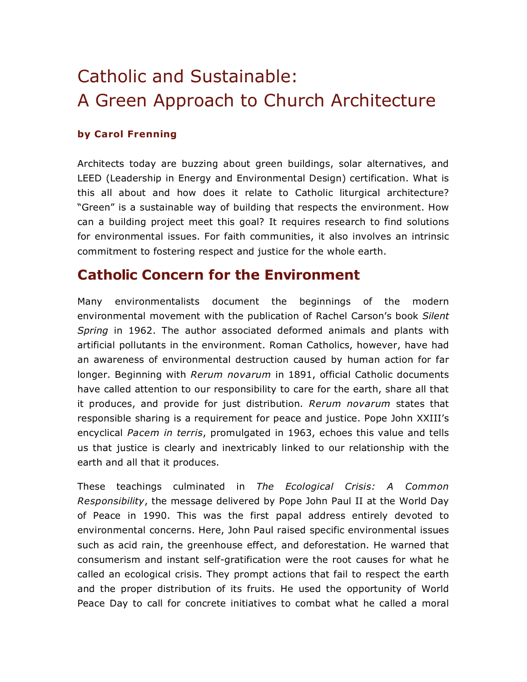# Catholic and Sustainable: A Green Approach to Church Architecture

#### **by Carol Frenning**

Architects today are buzzing about green buildings, solar alternatives, and LEED (Leadership in Energy and Environmental Design) certification. What is this all about and how does it relate to Catholic liturgical architecture? "Green" is a sustainable way of building that respects the environment. How can a building project meet this goal? It requires research to find solutions for environmental issues. For faith communities, it also involves an intrinsic commitment to fostering respect and justice for the whole earth.

### **Catholic Concern for the Environment**

Many environmentalists document the beginnings of the modern environmental movement with the publication of Rachel Carson's book *Silent Spring* in 1962. The author associated deformed animals and plants with artificial pollutants in the environment. Roman Catholics, however, have had an awareness of environmental destruction caused by human action for far longer. Beginning with *Rerum novarum* in 1891, official Catholic documents have called attention to our responsibility to care for the earth, share all that it produces, and provide for just distribution. *Rerum novarum* states that responsible sharing is a requirement for peace and justice. Pope John XXIII's encyclical *Pacem in terris*, promulgated in 1963, echoes this value and tells us that justice is clearly and inextricably linked to our relationship with the earth and all that it produces.

These teachings culminated in *The Ecological Crisis: A Common Responsibility*, the message delivered by Pope John Paul II at the World Day of Peace in 1990. This was the first papal address entirely devoted to environmental concerns. Here, John Paul raised specific environmental issues such as acid rain, the greenhouse effect, and deforestation. He warned that consumerism and instant self-gratification were the root causes for what he called an ecological crisis. They prompt actions that fail to respect the earth and the proper distribution of its fruits. He used the opportunity of World Peace Day to call for concrete initiatives to combat what he called a moral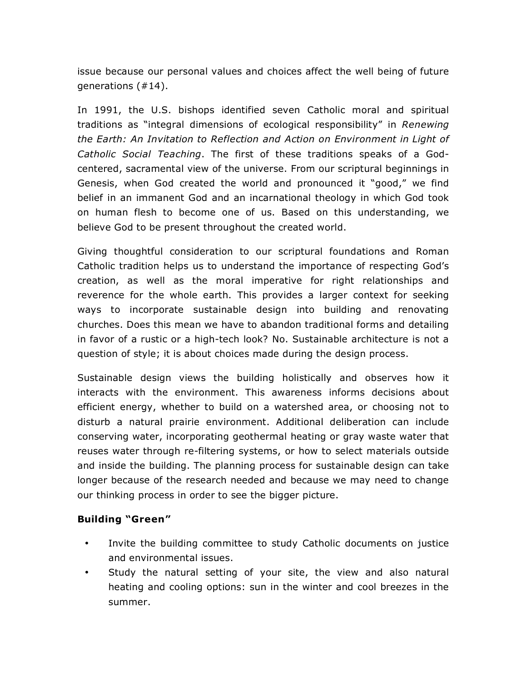issue because our personal values and choices affect the well being of future generations (#14).

In 1991, the U.S. bishops identified seven Catholic moral and spiritual traditions as "integral dimensions of ecological responsibility" in *Renewing the Earth: An Invitation to Reflection and Action on Environment in Light of Catholic Social Teaching*. The first of these traditions speaks of a Godcentered, sacramental view of the universe. From our scriptural beginnings in Genesis, when God created the world and pronounced it "good," we find belief in an immanent God and an incarnational theology in which God took on human flesh to become one of us. Based on this understanding, we believe God to be present throughout the created world.

Giving thoughtful consideration to our scriptural foundations and Roman Catholic tradition helps us to understand the importance of respecting God's creation, as well as the moral imperative for right relationships and reverence for the whole earth. This provides a larger context for seeking ways to incorporate sustainable design into building and renovating churches. Does this mean we have to abandon traditional forms and detailing in favor of a rustic or a high-tech look? No. Sustainable architecture is not a question of style; it is about choices made during the design process.

Sustainable design views the building holistically and observes how it interacts with the environment. This awareness informs decisions about efficient energy, whether to build on a watershed area, or choosing not to disturb a natural prairie environment. Additional deliberation can include conserving water, incorporating geothermal heating or gray waste water that reuses water through re-filtering systems, or how to select materials outside and inside the building. The planning process for sustainable design can take longer because of the research needed and because we may need to change our thinking process in order to see the bigger picture.

#### **Building "Green"**

- Invite the building committee to study Catholic documents on justice and environmental issues.
- Study the natural setting of your site, the view and also natural heating and cooling options: sun in the winter and cool breezes in the summer.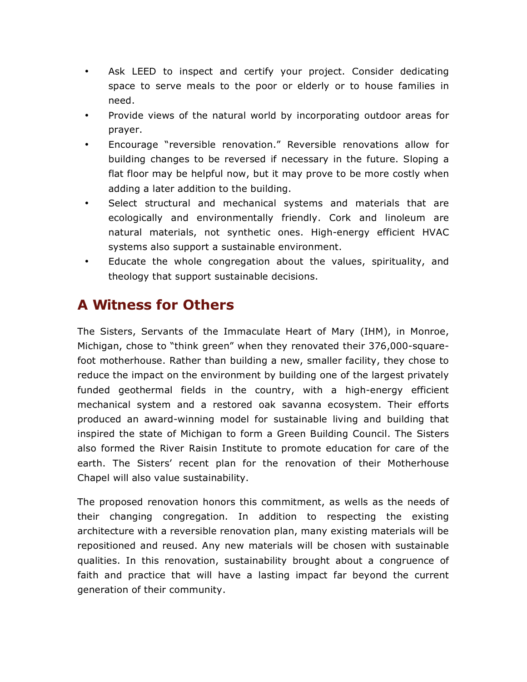- Ask LEED to inspect and certify your project. Consider dedicating space to serve meals to the poor or elderly or to house families in need.
- Provide views of the natural world by incorporating outdoor areas for prayer.
- Encourage "reversible renovation." Reversible renovations allow for building changes to be reversed if necessary in the future. Sloping a flat floor may be helpful now, but it may prove to be more costly when adding a later addition to the building.
- Select structural and mechanical systems and materials that are ecologically and environmentally friendly. Cork and linoleum are natural materials, not synthetic ones. High-energy efficient HVAC systems also support a sustainable environment.
- Educate the whole congregation about the values, spirituality, and theology that support sustainable decisions.

## **A Witness for Others**

The Sisters, Servants of the Immaculate Heart of Mary (IHM), in Monroe, Michigan, chose to "think green" when they renovated their 376,000-squarefoot motherhouse. Rather than building a new, smaller facility, they chose to reduce the impact on the environment by building one of the largest privately funded geothermal fields in the country, with a high-energy efficient mechanical system and a restored oak savanna ecosystem. Their efforts produced an award-winning model for sustainable living and building that inspired the state of Michigan to form a Green Building Council. The Sisters also formed the River Raisin Institute to promote education for care of the earth. The Sisters' recent plan for the renovation of their Motherhouse Chapel will also value sustainability.

The proposed renovation honors this commitment, as wells as the needs of their changing congregation. In addition to respecting the existing architecture with a reversible renovation plan, many existing materials will be repositioned and reused. Any new materials will be chosen with sustainable qualities. In this renovation, sustainability brought about a congruence of faith and practice that will have a lasting impact far beyond the current generation of their community.